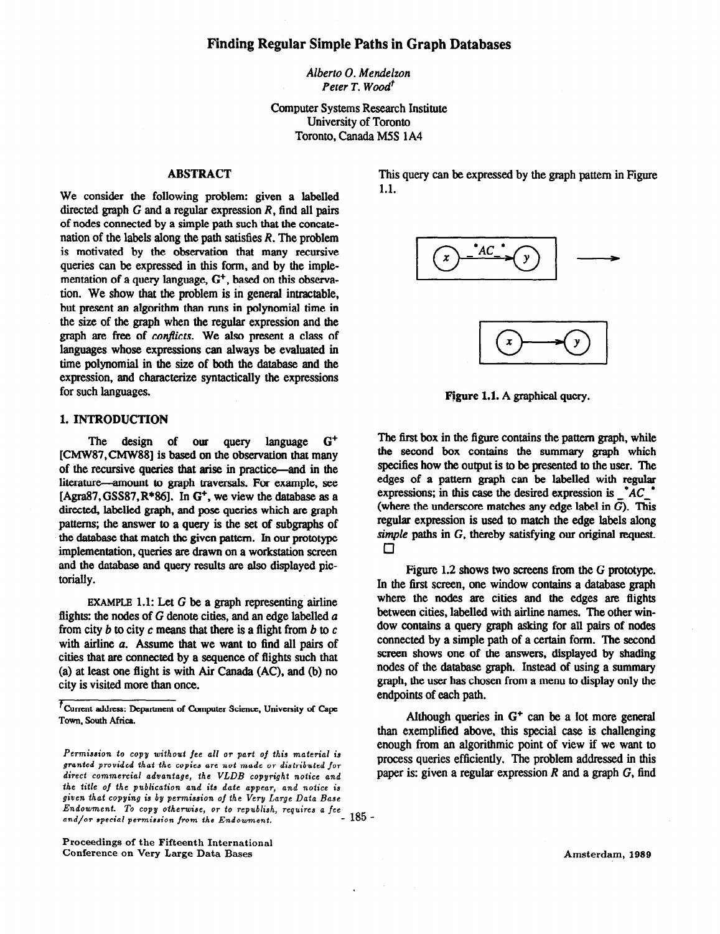Albert0 0. Mendelzon Peter T. Wood<sup>t</sup>

Computer Systems Research Institute University of Toronto Toronto, Canada M5S IA4

# ABSTRACT

We consider the following problem: given a labelled directed graph  $G$  and a regular expression  $R$ , find all pairs of nodes connected by a simple path such that the concatenation of the labels along the path satisfies  $R$ . The problem is motivated by the observation that many recursive queries can be expressed in this form, and by the implementation of a query language,  $G^+$ , based on this observation. We show that the problem is in general intractable, but present an algorithm than runs in polynomial time in the size of the graph when the regular expression and the graph are free of conflicts. We also present a class of languages whose expressions can always be evaluated in time polynomial in the size of both the database and the expression, and characterize syntactically the expressions for such languages.

# 1. INTRODUCTION

The design of our query language G+ [CMW87,CMW88] is based on the observation that many of the recursive queries that arise in practice-and in the literature-amount to graph traversals. For example, see [Agra87, GSS87,  $R*86$ ]. In  $G<sup>+</sup>$ , we view the database as a directed, labelled graph, and pose queries which are graph patterns; the answer to a query is the set of subgraphs of the database that match the given pattern. In our prototype implementation, queries are drawn on a workstation screen and the database and query results are also displayed pictorially.

EXAMPLE 1.1: Let  $G$  be a graph representing airline flights: the nodes of  $G$  denote cities, and an edge labelled  $a$ from city  $b$  to city  $c$  means that there is a flight from  $b$  to  $c$ with airline a. Assume that we want to find all pairs of cities that are connected by a sequence of flights such that (a) at least one flight is with Air Canada (AC), and (b) no city is visited more than once.

Proceedings of the Fifteenth International Conference on Very Large Data Bases

This query can be expressed by the graph pattern in Figure 1.1.



Figure 1.1. A graphical query.

The first box in the figure contains the pattern graph, while the second box contains the summary graph which specifies how the output is to be presented to the user. The edges of a pattern graph can be labelled with regular expressions; in this case the desired expression is  $A^A C^A$ (where the underscore matches any edge label in  $\overline{G}$ ). This regular expression is used to match the edge labels along simple paths in G, thereby satisfying our original request.  $\Box$ 

Figure 1.2 shows two screens from the G prototype. In the first screen, one window contains a database graph where the nodes are cities and the edges are flights between cities, labelled with airline names. The other window contains a query graph asking for all pairs of nodes connected by a simple path of a certain form. The second screen shows one of the answers, displayed by shading nodes of the database graph. Instead of using a summary graph, the user has chosen from a menu to display only the endpoints of each path.

Although queries in  $G<sup>+</sup>$  can be a lot more general than exemplified above, this special case is challenging enough from an algorithmic point of view if we want to process queries efficiently. The problem addressed in this paper is: given a regular expression  $R$  and a graph  $G$ , find

Amsterdam, 1989

 $<sup>t</sup>$  Current address: Department of Computer Science, University of Cape</sup> Town, South Africa.

Permission to copy without fee all or part of this material is granted provided that the copies are not made OT distributed for direct commercial advantage, the VLDB copyright notice and the title of the publication and its date appear, and notice is given that copying is by permission of the Very Large Data Base Endowment. To copy otherwise, OT to republish, Tequizes a fee and/or special permission from the Endowment. - 185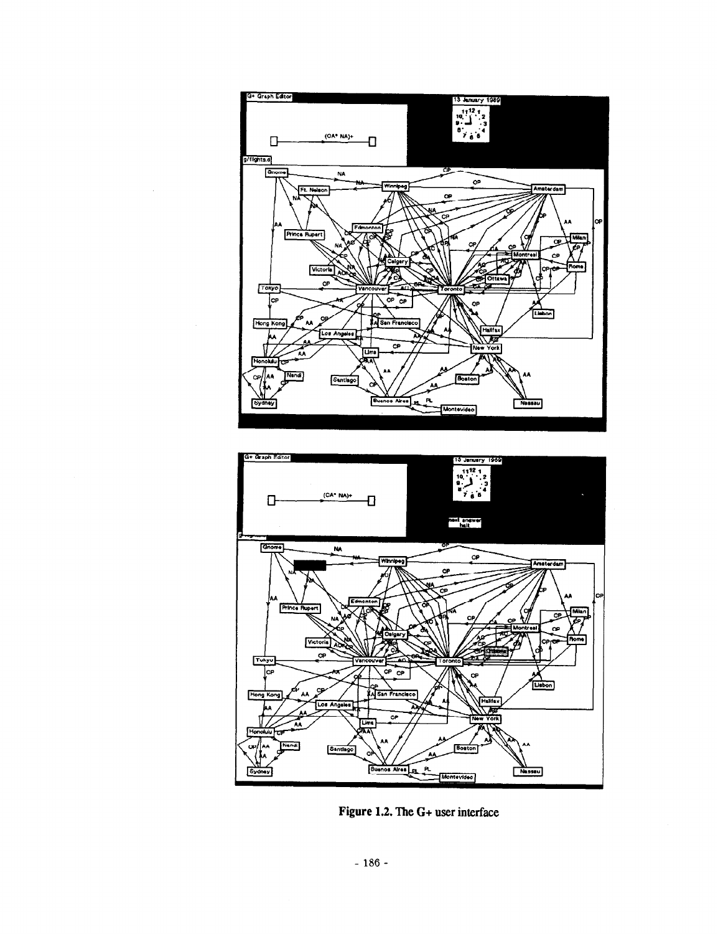



Figure 1.2. The G+ user interface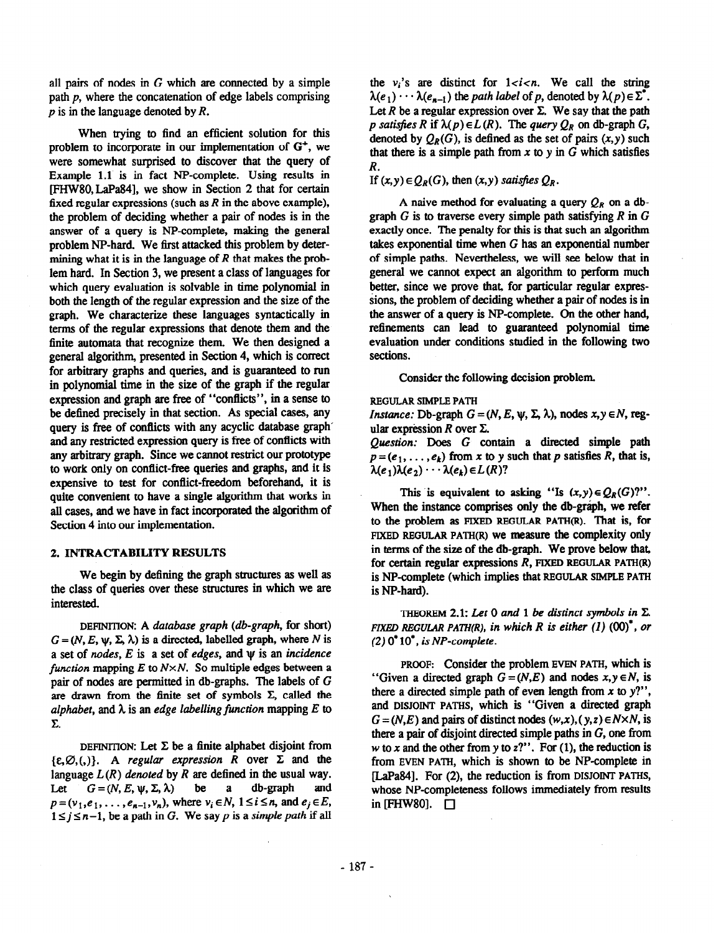all pairs of nodes in  $G$  which are connected by a simple path  $p$ , where the concatenation of edge labels comprising  $p$  is in the language denoted by  $R$ .

When trying to find an efficient solution for this problem to incorporate in our implementation of  $G^+$ , we were somewhat surprised to discover that the query of Example 1.1 is in fact NP-complete. Using results in [FHw8O,LaPa84], we show in Section 2 that for certain fixed regular expressions (such as  $R$  in the above example), the problem of deciding whether a pair of nodes is in the answer of a query is NP-complete, making the general problem NP-hard. We first attacked this problem by determining what it is in the language of R that makes the problem hard. In Section 3, we present a class of languages for which query evaluation is solvable in time polynomial in both the length of the regular expression and the size of the graph. We characterize these languages syntactically in terms of the regular expressions that denote them and the finite automata that recognize them. We then designed a general algorithm, presented in Section 4, which is correct for arbitrary graphs and queries, and is guaranteed to run in polynomial time in the size of the graph if the regular expression and graph are free of "conflicts", in a sense to be defined precisely in that section. As special cases, any query is free of conflicts with any acyclic database graph' and any restricted expression query is free of conflicts with any arbitrary graph. Since we cannot restrict our prototype to work only on conflict-free queries and graphs, and it is expensive to test for conflict-freedom beforehand, it is quite convenient to have a single algorithm that works in all cases, and we have in fact incorporated the algorithm of Section 4 into our implementation.

# 2. INTRACTABILITY RESULTS

We begin by defining the graph structures as well as the class of queries over these structures in which we are interested.

DEFINITION: A database graph (db-graph, for short)  $G = (N, E, \psi, \Sigma, \lambda)$  is a directed, labelled graph, where N is a set of *nodes*,  $E$  is a set of *edges*, and  $\psi$  is an *incidence* function mapping  $E$  to  $N \times N$ . So multiple edges between a pair of nodes are permitted in db-graphs. The labels of G are drawn from the finite set of symbols  $\Sigma$ , called the alphabet, and  $\lambda$  is an edge labelling function mapping E to  $\Sigma$ .

DEFINITION: Let  $\Sigma$  be a finite alphabet disjoint from  $\{E, \emptyset, (0) \}.$  A regular expression R over  $\Sigma$  and the language  $L(R)$  denoted by R are defined in the usual way. Let  $G = (N, E, \psi, \Sigma, \lambda)$  be a db-graph  $p=(v_1,e_1,\ldots, e_{n-1},v_n)$ , where  $v_i\in N$ ,  $1\leq i\leq n$ , and  $e_i\in E$ ,  $1 \le j \le n-1$ , be a path in G. We say p is a simple path if all

the  $v_i$ 's are distinct for  $1 < i < n$ . We call the string  $\lambda(e_1) \cdots \lambda(e_{n-1})$  the path label of p, denoted by  $\lambda(p) \in \Sigma^*$ . Let  $R$  be a regular expression over  $\Sigma$ . We say that the path p satisfies R if  $\lambda(p) \in L(R)$ . The query  $Q_R$  on db-graph G, denoted by  $Q_R(G)$ , is defined as the set of pairs  $(x, y)$  such that there is a simple path from  $x$  to  $y$  in  $G$  which satisfies R.

If  $(x, y) \in Q_R(G)$ , then  $(x, y)$  satisfies  $Q_R$ .

A naive method for evaluating a query  $Q_R$  on a dbgraph  $G$  is to traverse every simple path satisfying  $R$  in  $G$ exactly once. The penalty for this is that such an algorithm takes exponential time when  $G$  has an exponential number of simple paths. Nevertheless, we will see below that in general we cannot expect an algorithm to perform much better, since we prove that, for particular regular expressions, the problem of deciding whether a pair of nodes is in the answer of a query is NP-complete. On the other hand, refinements can lead to guaranteed polynomial time evaluation under conditions studied in the following two sections.

Consider the following decision problem

REGULAR SIMPLE PATH

*Instance:* Db-graph  $G = (N, E, \psi, \Sigma, \lambda)$ , nodes  $x, y \in N$ , regular expression  $R$  over  $\Sigma$ .

Question: Does G contain a directed simple path  $p=(e_1,\ldots,e_k)$  from x to y such that p satisfies R, that is,  $\lambda(e_1)\lambda(e_2)\cdots\lambda(e_k)\in L(R)?$ 

This is equivalent to asking "Is  $(x, y) \in Q_R(G)$ ". When the instance comprises only the db-graph, we refer to the problem as HXED REGULAR PATH(R). That is, for FIXED REGULAR PATH $(R)$  we measure the complexity only in terms of the size of the db-graph. We prove below that, for certain regular expressions  $R$ , FIXED REGULAR PATH $(R)$ is NP-complete (which implies that REGULAR SIMPLE PATH is NP-hard).

THEOREM 2.1: Let 0 and 1 be distinct symbols in  $\Sigma$ . FIXED REGULAR PATH(R), in which R is either  $(1)$   $(00)^*$ , or  $(2)$  0<sup>\*</sup> 10<sup>\*</sup>, is NP-complete.

PROOF: Consider the problem EVEN PATH, which is "Given a directed graph  $G = (N, E)$  and nodes  $x, y \in N$ , is there a directed simple path of even length from  $x$  to  $y$ ?", and DISJOINT PATHS, which is "Given a directed graph  $G = (N, E)$  and pairs of distinct nodes  $(w, x), (y, z) \in N \times N$ , is there a pair of disjoint directed simple paths in G, one from w to x and the other from y to  $z$ ?". For (1), the reduction is from EVEN PATH, which is shown to be NP-complete in lLaPa84]. For (2), the reduction is from DISJOINT PATHS, whose NP-completeness follows immediately from results in [FHW80].  $\Box$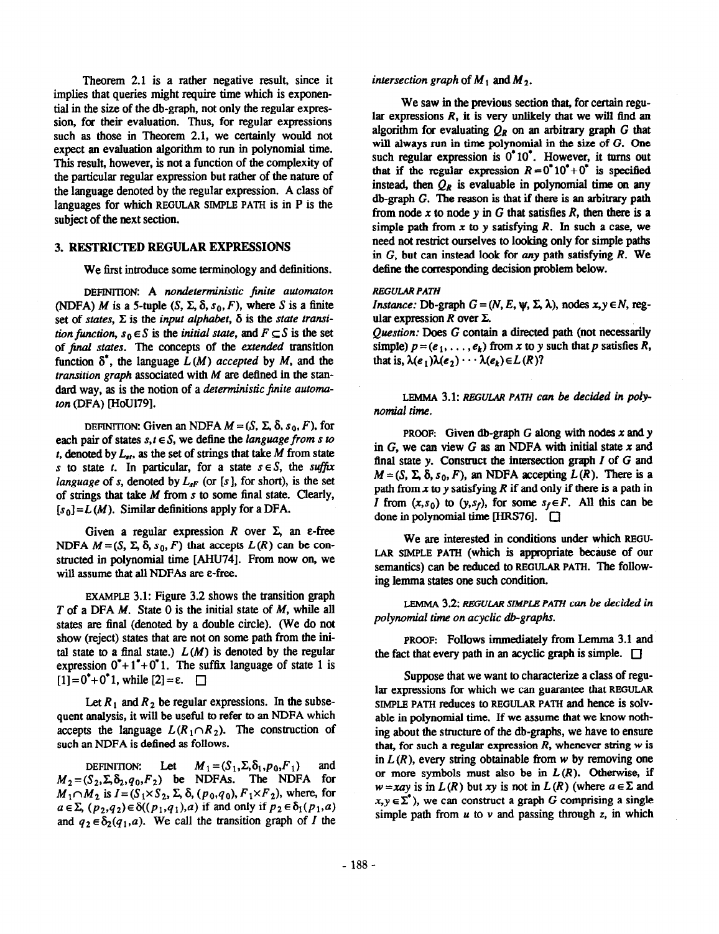Theorem 2.1 is a rather negative result, since it implies that queries might require time which is exponential in the size of the db-graph, not only the regular expression, for their evaluation. Thus, for regular expressions such as those in Theorem 2.1, we certainly would not expect an evaluation algorithm to run in polynomial time. This result, however, is not a function of the complexity of the particular regular expression but rather of the nature of the language denoted by the regular expression. A class of languages for which REGULAR SIMPLE PATH is in P is the subject of the next section.

# 3. RESTRICTED REGULAR EXPRESSIONS

We first introduce some terminology and definitions.

DEFINITION: A nondeterministic finite automaton (NDFA) M is a 5-tuple  $(S, \Sigma, \delta, s_0, F)$ , where S is a finite set of states,  $\Sigma$  is the input alphabet,  $\delta$  is the state transition function,  $s_0 \in S$  is the initial state, and  $F \subseteq S$  is the set of final states. The concepts of the extended transition function  $\delta^*$ , the language  $L(M)$  accepted by M, and the transition graph associated with  $M$  are defined in the standard way, as is the notion of a deterministic finite automaton (DFA) [HoU179].

DEFINITION: Given an NDFA  $M = (S, \Sigma, \delta, s_0, F)$ , for each pair of states  $s, t \in S$ , we define the language from s to t, denoted by  $L_{st}$ , as the set of strings that take M from state s to state t. In particular, for a state  $s \in S$ , the suffix language of s, denoted by  $L_{sF}$  (or [s], for short), is the set of strings that take  $M$  from  $s$  to some final state. Clearly,  $[s_0] = L(M)$ . Similar definitions apply for a DFA.

Given a regular expression R over  $\Sigma$ , an  $\varepsilon$ -free NDFA  $M = (S, \Sigma, \delta, s_0, F)$  that accepts  $L(R)$  can be constructed in polynomial time [AHU74]. From now on, we will assume that all NDFAs are  $\epsilon$ -free.

EXAMPLE 3.1: Figure 3.2 shows the transition graph T of a DFA M. State 0 is the initial state of M, while all states are final (denoted by a double circle). (We do not show (reject) states that are not on some path from the inital state to a final state.)  $L(M)$  is denoted by the regular expression  $0^*+1^*+0^*$  1. The suffix language of state 1 is  $[1] = 0^* + 0^*$  1, while  $[2] = \varepsilon$ .  $\Box$ 

Let  $R_1$  and  $R_2$  be regular expressions. In the subsequent analysis, it will be useful to refer to an NDFA which accepts the language  $L(R_1 \cap R_2)$ . The construction of such an NDFA is defined as follows.

DEFINITION: Let  $M_1 = (S_1, \Sigma, \delta_1, p_0, F_1)$  and  $M_2 = (S_2, \Sigma, \delta_2, q_0, F_2)$  be NDFAs. The NDFA for  $M_1 \cap M_2$  is  $I = (S_1 \times S_2, \Sigma, \delta, (p_0, q_0), F_1 \times F_2)$ , where, for  $a \in \Sigma$ ,  $(p_2,q_2) \in \delta((p_1,q_1),a)$  if and only if  $p_2 \in \delta_1(p_1,a)$ and  $q_2 \in \delta_2(q_1, a)$ . We call the transition graph of I the intersection graph of  $M_1$  and  $M_2$ .

We saw in the previous section that, for certain regular expressions  $R$ , it is very unlikely that we will find an algorithm for evaluating  $Q_R$  on an arbitrary graph G that will always run in time polynomial in the size of G. One such regular expression is  $0^*10^*$ . However, it turns out that if the regular expression  $R = 0^* 10^* + 0^*$  is specified instead, then  $Q_R$  is evaluable in polynomial time on any  $db$ -graph  $G$ . The reason is that if there is an arbitrary path from node x to node y in  $G$  that satisfies  $R$ , then there is a simple path from x to y satisfying R. In such a case, we need not restrict ourselves to looking only for simple paths in G, but can instead look for any path satisfying R. We define the corresponding decision problem below.

## REGULAR PATH

*Instance:* Db-graph  $G = (N, E, \Psi, \Sigma, \lambda)$ , nodes  $x, y \in N$ , regular expression  $R$  over  $\Sigma$ .

Question: Does G contain a directed path (not necessarily simple)  $p = (e_1, \ldots, e_k)$  from x to y such that p satisfies R, that is,  $\lambda(e_1)\lambda(e_2) \cdots \lambda(e_k) \in L(R)$ ?

LEMMA 3.1: REGULAR PATH can be decided in polynomial time.

PROOF: Given db-graph  $G$  along with nodes  $x$  and  $y$ in  $G$ , we can view  $G$  as an NDFA with initial state  $x$  and final state y. Construct the intersection graph  $I$  of  $G$  and  $M = (S, \Sigma, \delta, s_0, F)$ , an NDFA accepting  $L(R)$ . There is a path from  $x$  to y satisfying  $R$  if and only if there is a path in I from  $(x, s_0)$  to  $(y, s_f)$ , for some  $s_f \in F$ . All this can be done in polynomial time  $[HRS76]$ .  $\Box$ 

We are interested in conditions under which REGU-LAR SIMPLE PATH (which is appropriate because of our semantics) can be reduced to REGULAR PATH. The following lemma states one such condition.

LEMMA 3.2: REGULAR SIMPLE PATH can be decided in polynomial time on acyclic db-graphs.

PROOF: Follows immediately from Lemma 3.1 and the fact that every path in an acyclic graph is simple.  $\square$ 

Suppose that we want to characterize a class of regular expressions for which we can guarantee that REGULAR SIMPLE PATH reduces to REGULAR PATH and hence is solvable in polynomial time. If we assume that we know nothing about the structure of the db-graphs, we have to ensure that, for such a regular expression  $R$ , whenever string  $w$  is in  $L(R)$ , every string obtainable from w by removing one or more symbols must also be in  $L(R)$ . Otherwise, if  $w=xay$  is in  $L(R)$  but xy is not in  $L(R)$  (where  $a \in \Sigma$  and  $x, y \in \Sigma^{\bullet}$ , we can construct a graph G comprising a single simple path from  $u$  to  $v$  and passing through z, in which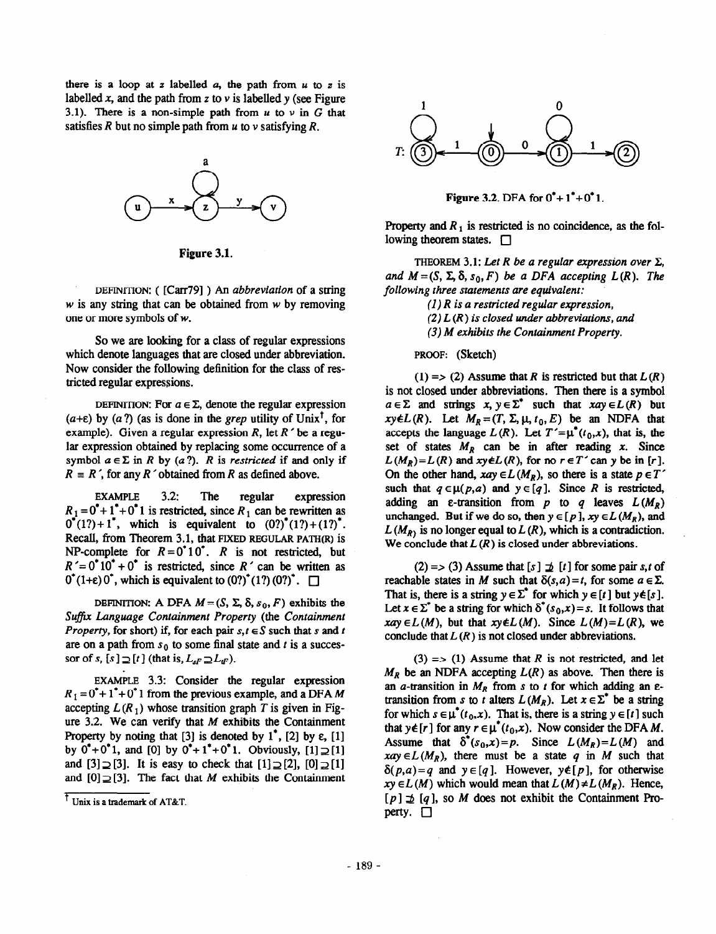there is a loop at z labelled  $a$ , the path from  $u$  to z is labelled x, and the path from z to  $\nu$  is labelled y (see Figure 3.1). There is a non-simple path from  $u$  to  $v$  in  $G$  that satisfies R but no simple path from  $u$  to  $v$  satisfying R.



Figure 3.1.

DEFINITION: ([Carr79]) An abbreviation of a string  $w$  is any string that can be obtained from  $w$  by removing one or more symbols of w.

So we are looking for a class of regular expressions which denote languages that are closed under abbreviation. Now consider the following definition for the class of restricted regular expressions.

DEFINITION: For  $a \in \Sigma$ , denote the regular expression  $(a+\varepsilon)$  by  $(a?)$  (as is done in the grep utility of Unix<sup>1</sup>, for example). Given a regular expression R, let  $R<sup>2</sup>$  be a regular expression obtained by replacing some occurrence of a symbol  $a \in \Sigma$  in R by (a?). R is restricted if and only if  $R = R'$ , for any R 'obtained from R as defined above.

EXAMPLE 3.2: The regular expression  $R_1 = 0^* + 1^* + 0^*$  1 is restricted, since  $R_1$  can be rewritten as  $0^*(1?) + 1^*$ , which is equivalent to  $(0?)^*(1?) + (1?)^*$ . Recall, from Theorem 3.1, that FIXED REGULAR PATH(R) is NP-complete for  $R = 0^{\circ}10^{\circ}$ . R is not restricted, but  $R' = 0^* 10^* + 0^*$  is restricted, since  $R'$  can be written as  $0^*(1+\epsilon)0^*$ , which is equivalent to  $(0?)^*(1?) (0?)^*$ .  $\Box$ 

DEFINITION: A DFA  $M = (S, \Sigma, \delta, s_0, F)$  exhibits the Suffix Language Containment Property (the Containment *Property*, for short) if, for each pair  $s, t \in S$  such that s and t are on a path from  $s_0$  to some final state and t is a successor of s,  $[s] \supseteq [t]$  (that is,  $L_{sF} \supseteq L_{tF}$ ).

EXAMPLE 3.3: Consider the regular expression  $R_1 = 0^* + 1^* + 0^*$  1 from the previous example, and a DFA M accepting  $L(R_1)$  whose transition graph T is given in Figure 3.2. We can verify that  $M$  exhibits the Containment Property by noting that [3] is denoted by  $1^*$ , [2] by  $\varepsilon$ , [1] by  $0^*+0^*1$ , and [0] by  $0^*+1^*+0^*1$ . Obviously,  $[1] \supseteq [1]$ and  $[3] \supseteq [3]$ . It is easy to check that  $[1] \supseteq [2]$ ,  $[0] \supseteq [1]$ and  $[0] \supseteq [3]$ . The fact that M exhibits the Containment



**Figure 3.2. DFA for**  $0^*+1^*+0^*1$ **.** 

Property and  $R_1$  is restricted is no coincidence, as the following theorem states.  $\Box$ 

THEOREM 3.1: Let R be a regular expression over  $\Sigma$ , and  $M = (S, \Sigma, \delta, s_0, F)$  be a DFA accepting  $L(R)$ . The following three statements are equivalent:

 $(1)$  R is a restricted regular expression,  $(2) L(R)$  is closed under abbreviations, and (3) M exhibits the Containment Property.

PROOF: (Sketch)

(1) => (2) Assume that R is restricted but that  $L(R)$ is not closed under abbreviations. Then there is a symbol  $a \in \Sigma$  and strings  $x, y \in \Sigma^*$  such that  $xay \in L(R)$  but  $xy \notin L(R)$ . Let  $M_R = (T, \Sigma, \mu, t_0, E)$  be an NDFA that accepts the language  $L(R)$ . Let  $T'=\mu^*(t_0,x)$ , that is, the set of states  $M_R$  can be in after reading x. Since  $L(M_R)=L(R)$  and  $xy\notin L(R)$ , for no  $r\in T'$  can y be in [r]. On the other hand,  $xay \in L(M_R)$ , so there is a state  $p \in T'$ such that  $q \in \mu(p,a)$  and  $y \in [q]$ . Since R is restricted, adding an  $\varepsilon$ -transition from p to q leaves  $L(M_R)$ unchanged. But if we do so, then  $y \in [p]$ ,  $xy \in L(M_R)$ , and  $L(M_R)$  is no longer equal to  $L(R)$ , which is a contradiction. We conclude that  $L(R)$  is closed under abbreviations.

(2) = > (3) Assume that  $[s] \not\supseteq [t]$  for some pair s,t of reachable states in M such that  $\delta(s, a) = t$ , for some  $a \in \Sigma$ . That is, there is a string  $y \in \Sigma^*$  for which  $y \in [t]$  but  $y \notin [s]$ . Let  $x \in \Sigma^*$  be a string for which  $\delta^*(s_0, x) = s$ . It follows that  $xay \in L(M)$ , but that  $xy \notin L(M)$ . Since  $L(M)=L(R)$ , we conclude that  $L(R)$  is not closed under abbreviations.

 $(3)$  => (1) Assume that R is not restricted, and let  $M_R$  be an NDFA accepting  $L(R)$  as above. Then there is an a-transition in  $M_R$  from s to t for which adding an  $\varepsilon$ transition from s to t alters  $L(M_R)$ . Let  $x \in \Sigma^*$  be a string for which  $s \in \mu^*(t_0,x)$ . That is, there is a string  $y \in [t]$  such that  $y \notin [r]$  for any  $r \in \mu^*(t_0,x)$ . Now consider the DFA M. Assume that  $\delta^*(s_0, x) = p$ . Since  $L(M_R) = L(M)$  and  $xay \in L(M_R)$ , there must be a state q in M such that  $\delta(p,a)=q$  and  $y \in [q]$ . However,  $y \notin [p]$ , for otherwise  $xy \in L(M)$  which would mean that  $L(M) \neq L(M_R)$ . Hence,  $\overline{f}$  Unix is a trademark of AT&T.  $[p] \not\supseteq [q]$ , so M does not exhibit the Containment Property.  $\Box$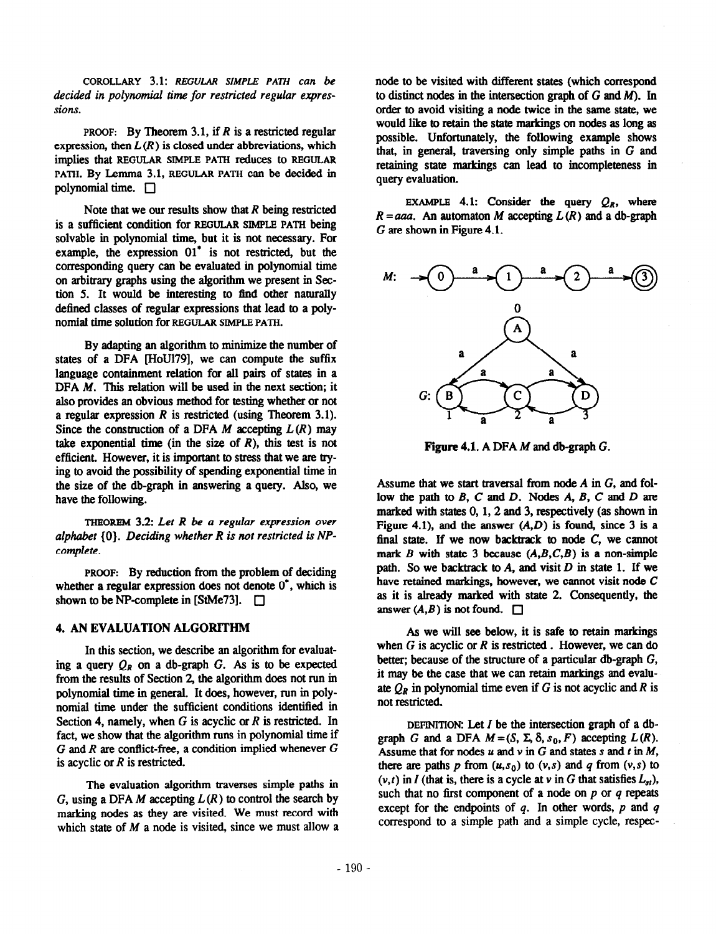COROLLARY 3.1: REGULAR SIMPLE PATH can be decided in polynomial time for restricted regular expressions.

PROOF: By Theorem 3.1, if  $R$  is a restricted regular expression, then  $L(R)$  is closed under abbreviations, which implies that REGULAR SIMPLE PATH reduces to REGULAR PATH. By Lemma 3.1, REGULAR PATH can be decided in polynomial time.  $\Box$ 

Note that we our results show that  $R$  being restricted is a sufficient condition for REGULAR SIMPLE PATH being solvable in polynomial time, but it is not necessary. For example, the expression 01' is not restricted, but the corresponding query can be evaluated in polynomial time on arbitrary graphs using the algorithm we present in Section 5. It would be interesting to find other naturally defined classes of regular expressions that lead to a polynomial time solution for REGULAR SIMPLE PATH.

By adapting an algorithm to minimize the number of states of a DFA [HoU179], we can compute the suffix language containment relation for all pairs of states in a DFA M. This relation will be used in the next section; it also provides an obvious method for testing whether or not a regular expression  $R$  is restricted (using Theorem 3.1). Since the construction of a DFA M accepting  $L(R)$  may take exponential time (in the size of  $R$ ), this test is not efficient. However, it is important to stress that we are trying to avoid the possibility of spending exponential time in the size of the db-graph in answering a query. Also, we have the following.

THEOREM  $3.2$ : Let R be a regular expression over alphabet (0). Deciding whether R is not restricted is NPcomplete.

PROOF: By reduction from the problem of deciding whether a regular expression does not denote  $0^*$ , which is shown to be NP-complete in [StMe73].  $\Box$ 

# 4. AN EVALUATION ALGORITHM

In this section, we describe an algorithm for evaluating a query  $Q_R$  on a db-graph G. As is to be expected from the results of Section 2, the algorithm does not run in polynomial time in general. It does, however, run in polynomial time under the sufficient conditions identified in Section 4, namely, when  $G$  is acyclic or  $R$  is restricted. In fact, we show that the algorithm runs in polynomial time if  $G$  and  $R$  are conflict-free, a condition implied whenever  $G$ is acyclic or  $R$  is restricted.

The evaluation algorithm traverses simple paths in G, using a DFA M accepting  $L(R)$  to control the search by marking nodes as they are visited. We must record with which state of  $M$  a node is visited, since we must allow a node to be visited with different states (which correspond to distinct nodes in the intersection graph of  $G$  and  $M$ ). In order to avoid visiting a node twice in the same state, we would like to retain the state markings on nodes as long as possible. Unfortunately, the following example shows that, in general, traversing only simple paths in G and retaining state markings can lead to incompleteness in query evaluation.

EXAMPLE 4.1: Consider the query  $Q_R$ , where  $R = aaa$ . An automaton M accepting  $L(R)$  and a db-graph G are shown in Figure 4.1.



Figure 4.1. A DFA M and db-graph G.

Assume that we start traversal from node A in G, and follow the path to  $B$ ,  $C$  and  $D$ . Nodes  $A$ ,  $B$ ,  $C$  and  $D$  are marked with states  $0, 1, 2$  and  $3$ , respectively (as shown in Figure 4.1), and the answer  $(A, D)$  is found, since 3 is a final state. If we now backtrack to node  $C$ , we cannot mark B with state 3 because  $(A, B, C, B)$  is a non-simple path. So we backtrack to A, and visit  $D$  in state 1. If we have retained markings, however, we cannot visit node C as it is aheady marked with state 2. Consequently, the answer  $(A, B)$  is not found.  $\Box$ 

As we will see below, it is safe to retain markings when  $G$  is acyclic or  $R$  is restricted. However, we can do better; because of the structure of a particular db-graph G, it may be the case that we can retain markings and evaluate  $Q_R$  in polynomial time even if G is not acyclic and R is not restricted.

DEFINITION: Let  $I$  be the intersection graph of a dbgraph G and a DFA  $M = (S, \Sigma, \delta, s_0, F)$  accepting  $L(R)$ . Assume that for nodes  $u$  and  $v$  in G and states s and t in M, there are paths p from  $(u,s_0)$  to  $(v,s)$  and q from  $(v,s)$  to  $(v,t)$  in I (that is, there is a cycle at v in G that satisfies  $L_{st}$ ), such that no first component of a node on  $p$  or  $q$  repeats except for the endpoints of  $q$ . In other words,  $p$  and  $q$ correspond to a simple path and a simple cycle, respec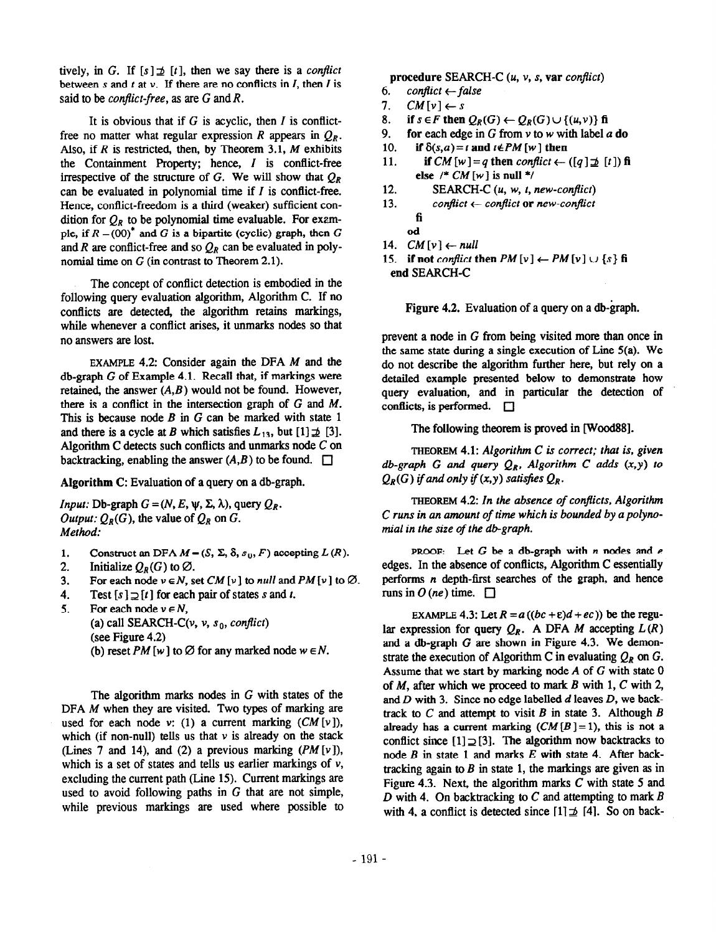tively, in G. If  $[s] \not\supseteq [t]$ , then we say there is a conflict between s and t at  $v$ . If there are no conflicts in  $I$ , then  $I$  is said to be *conflict-free*, as are  $G$  and  $R$ .

It is obvious that if  $G$  is acyclic, then  $I$  is conflictfree no matter what regular expression R appears in  $Q_R$ . Also, if  $R$  is restricted, then, by Theorem 3.1,  $M$  exhibits the Containment Property; hence, I is conflict-free irrespective of the structure of G. We will show that  $Q_R$ can be evaluated in polynomial time if  $I$  is conflict-free. Hence, conflict-freedom is a third (weaker) sufficient condition for  $Q_R$  to be polynomial time evaluable. For example, if  $R = (00)^*$  and G is a bipartite (cyclic) graph, then G and R are conflict-free and so  $Q_R$  can be evaluated in polynomial time on G (in contrast to Theorem 2.1).

The concept of conflict detection is embodied in the following query evaluation algorithm, Algorithm C. If no conflicts are detected, the algorithm retains markings, while whenever a conflict arises, it unmarks nodes so that no answers are lost.

EXAMPLE 4.2: Consider again the DFA M and the db-graph G of Example 4.1. Recall that, if markings were retained, the answer  $(A, B)$  would not be found. However, there is a conflict in the intersection graph of G and M. This is because node  $B$  in  $G$  can be marked with state 1 and there is a cycle at B which satisfies  $L_{13}$ , but  $[1] \not\supseteq [3]$ . Algorithm C detects such conflicts and unmarks node C on backtracking, enabling the answer  $(A, B)$  to be found.  $\square$ 

Algorithm C: Evaluation of a query on a db-graph.

*Output:*  $Q_R(G)$ , the value of  $Q_R$  on G. Method:  $\sum_{n=1}^{\infty}$  mial in the size of the db-graph.

- 1. Construct an DFA  $M = (S, \Sigma, \delta, s_0, F)$  accepting  $L(R)$ .
- 2. Initialize  $Q_R(G)$  to  $\emptyset$ .
- 3. For each node  $v \in N$ , set CM [v] to null and PM [v] to  $\emptyset$ .
- 4. Test  $[s] \supseteq [t]$  for each pair of states s and t.
- 5. For each node  $v \in N$ ,

(a) call SEARCH-C( $v$ ,  $v$ ,  $s_0$ , conflict)

(see Figure 4.2)

(b) reset PM [w] to  $\emptyset$  for any marked node  $w \in N$ .

The algorithm marks nodes in G with states of the DFA M when they are visited. Two types of marking are used for each node v: (1) a current marking  $(CM[v])$ , which (if non-null) tells us that  $\nu$  is already on the stack (Lines 7 and 14), and (2) a previous marking  $(PM[v])$ , which is a set of states and tells us earlier markings of  $v$ , excluding the current path (Line 15). Current markings are used to avoid following paths in  $G$  that are not simple, while previous markings are used where possible to

procedure SEARCH-C  $(u, v, s, var conflict)$ 

- 6. conflict  $\leftarrow$  false
- 7.  $CM[v] \leftarrow s$

8. if  $s \in F$  then  $Q_R(G) \leftarrow Q_R(G) \cup \{(u,v)\}$  fi

- 9. for each edge in G from  $\nu$  to w with label a do
- 10. if  $\delta(s,a) = t$  and  $t \notin PM$  [w] then
- 11. if  $CM[w] = q$  then conflict  $\leftarrow ([q] \not\supseteq [t])$  fi else /\*  $CM[w]$  is null \*/
- 12. SEARCH-C  $(u, w, t, new-conflict)$
- 13. conflict  $\leftarrow$  conflict or new-conflict fi
	-
- od
- 14.  $CM[v] \leftarrow null$
- 15. if not conflict then  $PM[v] \leftarrow PM[v] \cup \{s\}$  fi end SEARCH-C

Figure 4.2. Evaluation of a query on a db-graph.

prevent a node in G from being visited more than once in the same state during a single execution of Line 5(a). We do not describe the algorithm further here, but rely on a detailed example presented below to demonstrate how query evaluation, and in particular the detection of conflicts, is performed.  $\Box$ 

The following theorem is proved in [wood88].

THEOREM 4.1: Algorithm C is correct; that is, given db-graph G and query  $Q_R$ , Algorithm C adds  $(x, y)$  to  $Q_R(G)$  if and only if  $(x,y)$  satisfies  $Q_R$ .

*Input:* Db-graph  $G = (N, E, \psi, \Sigma, \lambda)$ , query  $Q_R$ .<br>C runs in an amount of time which is bounded by a polyno-<br>C runs in an amount of time which is bounded by a polyno-

PROOF: Let  $G$  be a db-graph with  $n$  nodes and  $e$ edges. In the absence of conflicts, Algorithm C essentially performs n depth-first searches of the graph, and hence runs in  $O(ne)$  time.  $\Box$ 

EXAMPLE 4.3: Let  $R = a((bc + \varepsilon)d + ec)$ ) be the regular expression for query  $Q_R$ . A DFA M accepting  $L(R)$ and a db-graph G are shown in Figure 4.3. We demonstrate the execution of Algorithm C in evaluating  $Q_R$  on G. Assume that we start by marking node A of G with state 0 of  $M$ , after which we proceed to mark  $B$  with 1,  $C$  with 2, and  $D$  with 3. Since no edge labelled  $d$  leaves  $D$ , we backtrack to  $C$  and attempt to visit  $B$  in state 3. Although  $B$ already has a current marking  $(CM[B] = 1)$ , this is not a conflict since  $[1] \supseteq [3]$ . The algorithm now backtracks to node  $B$  in state 1 and marks  $E$  with state 4. After backtracking again to  $B$  in state 1, the markings are given as in Figure 4.3. Next, the algorithm marks  $C$  with state 5 and D with 4. On backtracking to C and attempting to mark  $B$ with 4, a conflict is detected since  $[1] \not\supseteq [4]$ . So on back-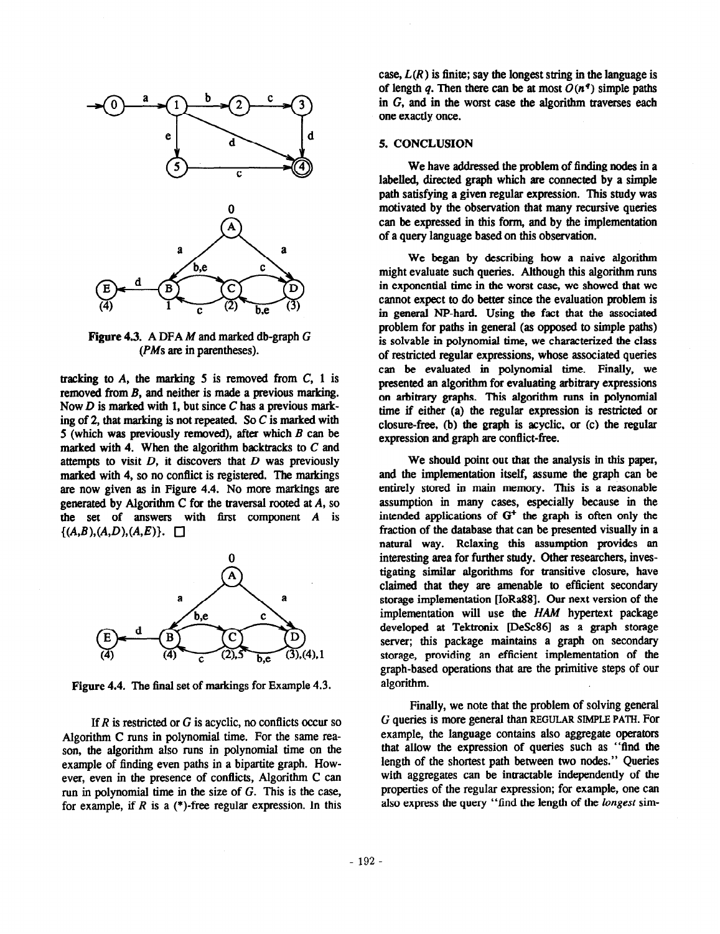

Figure 4.3. A DFA M and marked db-graph G  $(PMs$  are in parentheses).

tracking to  $A$ , the marking  $5$  is removed from  $C$ ,  $1$  is removed from B, and neither is made a previous marking. Now  $D$  is marked with 1, but since  $C$  has a previous marking of 2, that marking is not repeated. So  $C$  is marked with 5 (which was previously removed), after which  $B$  can be marked with 4. When the algorithm backtracks to  $C$  and attempts to visit  $D$ , it discovers that  $D$  was previously marked with 4, so no conflict is registered. The markings are now given as in Figure 4.4. No more markings are generated by Algorithm C for the traversal rooted at  $A$ , so the set of answers with first component  $A$  is  $\{(A,B), (A,D), (A,E)\}\.$ 



Figure 4.4. The final set of markings for Example 4.3.

If  $R$  is restricted or  $G$  is acyclic, no conflicts occur so Algorithm C runs in polynomial time. For the same reason, the algorithm also runs in polynomial time on the example of finding even paths in a bipartite graph. However, even in the presence of conflicts, Algorithm C can run in polynomial time in the size of G. This is the case, for example, if R is a  $(*)$ -free regular expression. In this

case,  $L(R)$  is finite; say the longest string in the language is of length q. Then there can be at most  $O(n^q)$  simple paths in G, and in the worst case the algorithm traverses each one exactly once.

## 5. CONCLUSION

We have addressed the problem of finding nodes in a labelled, directed graph which are connected by a simple path satisfying a given regular expression. This study was motivated by the observation that many recursive queries can be expressed in this form, and by the implementation of a query language based on this observation.

We began by describing how a naive algorithm might evaluate such queries. Although this algorithm runs in exponential time in the worst case, we showed that we cannot expect to do better since the evaluation problem is in general NP-hard. Using the fact that the associated problem for paths in general (as opposed to simple paths) is solvable in polynomial time, we characterized the class of restricted regular expressions, whose associated queries can be evaluated in polynomial time. Finally, we presented an algorithm for evaluating arbitrary expressions on arbitrary graphs. This algorithm runs in polynomial time if either (a) the regular expression is restricted or closure-free, (b) the graph is acyclic, or (c) the regular expression and graph are conflict-free.

We should point out that the analysis in this paper, and the implementation itself, assume the graph can be entirely stored in main memory. This is a reasonable assumption in many cases, especially because in the intended applications of  $G<sup>+</sup>$  the graph is often only the fraction of the database that can be presented visually in a natural way. Relaxing this assumption provides an interesting area for further study. Other researchers, investigating similar algorithms for transitive closure, have claimed that they are amenable to efficient secondary storage implementation [IoRa88]. Our next version of the implementation will use the HAM hypertext package developed at Tektronix [DeSc86] as a graph storage server; this package maintains a graph on secondary storage, providing an efficient implementation of the graph-based operations that are the primitive steps of our algorithm.

Finally, we note that the problem of solving general G queries is more general than REGULAR SIMPLE PATH. For example, the language contains also aggregate operators that allow the expression of queries such as "find the length of the shortest path between two nodes." Queries with aggregates can be intractable independently of the properties of the regular expression; for example, one can also express the query "find the length of the *longest* sim-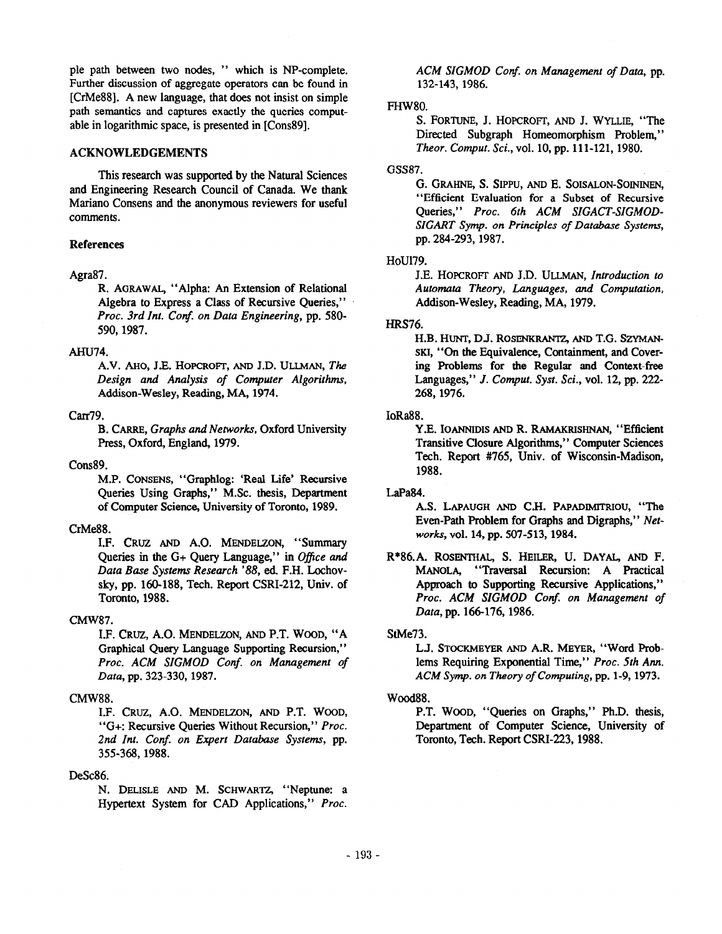ple path between two nodes, " which is NP-complete. Further discussion of aggregate operators can be found in [CrMe88]. A new language, that does not insist on simple path semantics and captures exactly the queries computable in logarithmic space, is presented in [Cons89].

## ACKNOWLEDGEMENTS

This research was supported by the Natural Sciences and Engineering Research Council of Canada. We thank Mariano Consens and the anonymous reviewers for useful comments.

## References

### Agra87.

R. AGRAWAL, "Alpha: An Extension of Relational Algebra to Express a Class of Recursive Queries," Proc. 3rd Int. Conf. on Data Engineering, pp. 580-590,1987.

### AHU74.

A.V. AHO, J.E. HOPCROFT, AND J.D. ULLMAN, The Design and Analysis of Computer Algorithms, Addison-Wesley, Reading, MA, 1974.

### carr79.

B. CARRE, Graphs and Networks, Oxford University Press, Oxford, England, 1979.

### Cons89.

M.P. CONSENS, "Graphlog: 'Real Life' Recursive Queries Using Graphs," M.Sc. thesis, Department of Computer Science, University of Toronto, 1989.

# CrMe88.

I.F. CRUZ AND A.O. MENDELZON, "Summary Queries in the  $G+$  Query Language," in Office and Data Base Systems Research '88, ed. F.H. Lochovsky, pp. 160-188, Tech. Report CSRI-212, Univ. of Toronto, 1988.

## CMW87.

I.F. CRUZ, A.O. MENDELZON, AND P.T. WOOD, "A Graphical Query Language Supporting Recursion," Proc. ACM SIGMOD Conf. on Management of Data, pp. 323-330, 1987.

# CMW88.

I.F. CRUZ, A.O. MENDELZON, AND P.T. WOOD, "G+: Recursive Queries Without Recursion," Proc. 2nd Int. Conf. on Expert Database Systems, pp. 355-368,1988.

### DeSc86.

N. DELISLE AND M. SCHWARTZ, "Neptune: a Hypertext System for CAD Applications," Proc. ACM SIGMOD Conf. on Management of Data, pp. 132-143,1986.

## FHW80.

S. FORTUNE, J. HOPCROFT, AND J. WYLLIE, "The Directed Subgraph Homeomorphism Problem," Theor. Comput. Sci., vol. 10, pp. 111-121, 1980.

## GSS87.

G. GRAHNE, S. SIPPu, AND E. SOISALON-SOININEN, "Efficient Evaluation for a Subset of Recursive Queries," Proc. 6th ACM SIGACT-SIGMOD-SIGART Symp. on Principles of Database Systems, pp. 284-293, 1987.

## HoU179.

J.E. HOPCROFT AND J.D. ULLMAN, Introduction to Automata Theory, Languages, and Computation, Addison-Wesley, Reading, MA, 1979.

## HRS76.

H.B. HUNT, D.J. ROSENKRANTZ, AND T.G. SZYMAN-SKI, "On the Equivalence, Containment, and Covering Problems for the Regular and Context-free Languages," J. Comput. Syst. Sci., vol. 12, pp. 222- 268,1976.

#### IoRa88.

Y.E. IOANNIDIS AND R. RAMAKRISHNAN, "Efficient Transitive closure Algorithms," Computer Sciences Tech. Report #765, Univ. of Wisconsin-Madison, 1988.

### LaPa84.

AS. LAPAUGH AND C.H. PAPADIMITRIOU, "The Even-Path Problem for Graphs and Digraphs," Networks, vol. 14, pp. 507-513,1984.

R\*86.A. ROSENTHAL, S. HEILER, U. DAYAL, AND F. MANOLA, "Traversal Recursion: A Practical Approach to Supporting Recursive Applications," Proc. ACM SIGMOD Conf. on Management of Data, pp. 166-176, 1986.

### StMe73.

L.J. STOCKMEYER AND A.R. MEYER, "Word Problems Requiring Exponential Time," Proc. 5th Ann. ACM Symp. on Theory of Computing, pp. 1-9, 1973.

### Wood88.

P.T. WOOD, "Queries on Graphs," Ph.D. thesis, Department of Computer Science, University of Toronto, Tech. Report CSRI-223, 1988.